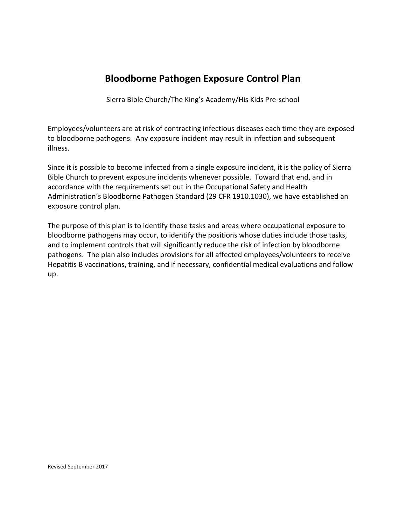## **Bloodborne Pathogen Exposure Control Plan**

Sierra Bible Church/The King's Academy/His Kids Pre-school

Employees/volunteers are at risk of contracting infectious diseases each time they are exposed to bloodborne pathogens. Any exposure incident may result in infection and subsequent illness.

Since it is possible to become infected from a single exposure incident, it is the policy of Sierra Bible Church to prevent exposure incidents whenever possible. Toward that end, and in accordance with the requirements set out in the Occupational Safety and Health Administration's Bloodborne Pathogen Standard (29 CFR 1910.1030), we have established an exposure control plan.

The purpose of this plan is to identify those tasks and areas where occupational exposure to bloodborne pathogens may occur, to identify the positions whose duties include those tasks, and to implement controls that will significantly reduce the risk of infection by bloodborne pathogens. The plan also includes provisions for all affected employees/volunteers to receive Hepatitis B vaccinations, training, and if necessary, confidential medical evaluations and follow up.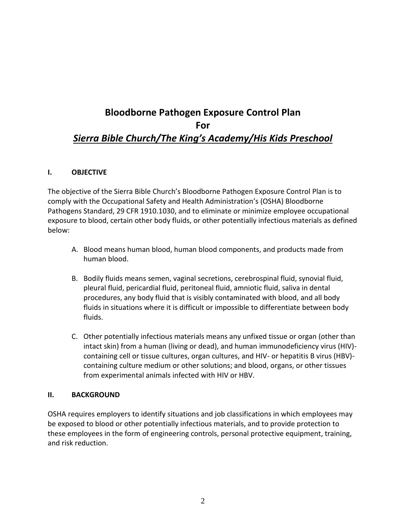# **Bloodborne Pathogen Exposure Control Plan For** *Sierra Bible Church/The King's Academy/His Kids Preschool*

#### **I. OBJECTIVE**

The objective of the Sierra Bible Church's Bloodborne Pathogen Exposure Control Plan is to comply with the Occupational Safety and Health Administration's (OSHA) Bloodborne Pathogens Standard, 29 CFR 1910.1030, and to eliminate or minimize employee occupational exposure to blood, certain other body fluids, or other potentially infectious materials as defined below:

- A. Blood means human blood, human blood components, and products made from human blood.
- B. Bodily fluids means semen, vaginal secretions, cerebrospinal fluid, synovial fluid, pleural fluid, pericardial fluid, peritoneal fluid, amniotic fluid, saliva in dental procedures, any body fluid that is visibly contaminated with blood, and all body fluids in situations where it is difficult or impossible to differentiate between body fluids.
- C. Other potentially infectious materials means any unfixed tissue or organ (other than intact skin) from a human (living or dead), and human immunodeficiency virus (HIV) containing cell or tissue cultures, organ cultures, and HIV- or hepatitis B virus (HBV) containing culture medium or other solutions; and blood, organs, or other tissues from experimental animals infected with HIV or HBV.

## **II. BACKGROUND**

OSHA requires employers to identify situations and job classifications in which employees may be exposed to blood or other potentially infectious materials, and to provide protection to these employees in the form of engineering controls, personal protective equipment, training, and risk reduction.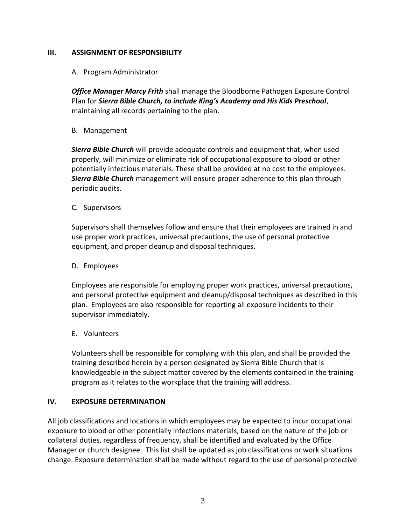#### **III. ASSIGNMENT OF RESPONSIBILITY**

#### A. Program Administrator

*Office Manager Marcy Frith* shall manage the Bloodborne Pathogen Exposure Control Plan for *Sierra Bible Church, to include King's Academy and His Kids Preschool*, maintaining all records pertaining to the plan.

B. Management

*Sierra Bible Church* will provide adequate controls and equipment that, when used properly, will minimize or eliminate risk of occupational exposure to blood or other potentially infectious materials. These shall be provided at no cost to the employees. *Sierra Bible Church* management will ensure proper adherence to this plan through periodic audits.

C. Supervisors

Supervisors shall themselves follow and ensure that their employees are trained in and use proper work practices, universal precautions, the use of personal protective equipment, and proper cleanup and disposal techniques.

#### D. Employees

Employees are responsible for employing proper work practices, universal precautions, and personal protective equipment and cleanup/disposal techniques as described in this plan. Employees are also responsible for reporting all exposure incidents to their supervisor immediately.

#### E. Volunteers

Volunteers shall be responsible for complying with this plan, and shall be provided the training described herein by a person designated by Sierra Bible Church that is knowledgeable in the subject matter covered by the elements contained in the training program as it relates to the workplace that the training will address.

## **IV. EXPOSURE DETERMINATION**

All job classifications and locations in which employees may be expected to incur occupational exposure to blood or other potentially infections materials, based on the nature of the job or collateral duties, regardless of frequency, shall be identified and evaluated by the Office Manager or church designee. This list shall be updated as job classifications or work situations change. Exposure determination shall be made without regard to the use of personal protective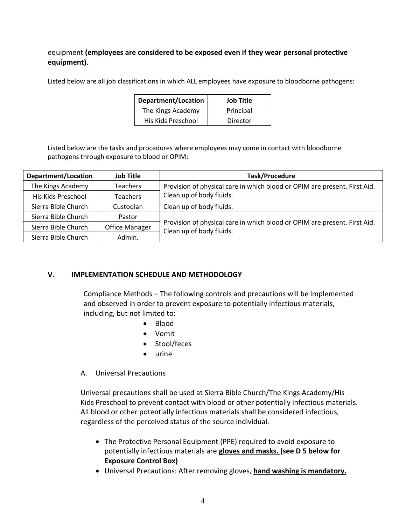## equipment **(employees are considered to be exposed even if they wear personal protective equipment)**.

Listed below are all job classifications in which ALL employees have exposure to bloodborne pathogens:

| Department/Location | <b>Job Title</b> |
|---------------------|------------------|
| The Kings Academy   | Principal        |
| His Kids Preschool  | Director         |

Listed below are the tasks and procedures where employees may come in contact with bloodborne pathogens through exposure to blood or OPIM:

| <b>Department/Location</b> | <b>Job Title</b>      | <b>Task/Procedure</b>                                                                                 |
|----------------------------|-----------------------|-------------------------------------------------------------------------------------------------------|
| The Kings Academy          | <b>Teachers</b>       | Provision of physical care in which blood or OPIM are present. First Aid.                             |
| His Kids Preschool         | <b>Teachers</b>       | Clean up of body fluids.                                                                              |
| Sierra Bible Church        | Custodian             | Clean up of body fluids.                                                                              |
| Sierra Bible Church        | Pastor                | Provision of physical care in which blood or OPIM are present. First Aid.<br>Clean up of body fluids. |
| Sierra Bible Church        | <b>Office Manager</b> |                                                                                                       |
| Sierra Bible Church        | Admin.                |                                                                                                       |

## **V. IMPLEMENTATION SCHEDULE AND METHODOLOGY**

Compliance Methods – The following controls and precautions will be implemented and observed in order to prevent exposure to potentially infectious materials, including, but not limited to:

- Blood
- Vomit
- Stool/feces
- urine

## A. Universal Precautions

Universal precautions shall be used at Sierra Bible Church/The Kings Academy/His Kids Preschool to prevent contact with blood or other potentially infectious materials. All blood or other potentially infectious materials shall be considered infectious, regardless of the perceived status of the source individual.

- The Protective Personal Equipment (PPE) required to avoid exposure to potentially infectious materials are **gloves and masks. (see D 5 below for Exposure Control Box)**
- Universal Precautions: After removing gloves, **hand washing is mandatory.**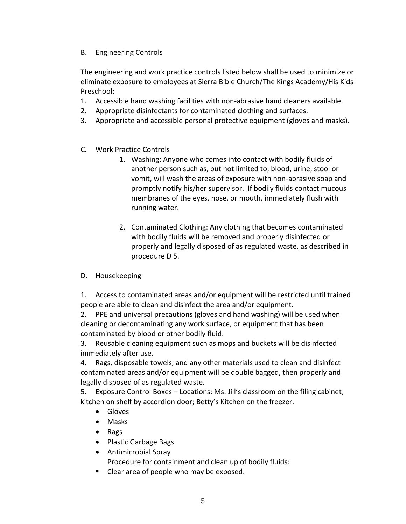B. Engineering Controls

The engineering and work practice controls listed below shall be used to minimize or eliminate exposure to employees at Sierra Bible Church/The Kings Academy/His Kids Preschool:

- 1. Accessible hand washing facilities with non-abrasive hand cleaners available.
- 2. Appropriate disinfectants for contaminated clothing and surfaces.
- 3. Appropriate and accessible personal protective equipment (gloves and masks).
- C. Work Practice Controls
	- 1. Washing: Anyone who comes into contact with bodily fluids of another person such as, but not limited to, blood, urine, stool or vomit, will wash the areas of exposure with non-abrasive soap and promptly notify his/her supervisor. If bodily fluids contact mucous membranes of the eyes, nose, or mouth, immediately flush with running water.
	- 2. Contaminated Clothing: Any clothing that becomes contaminated with bodily fluids will be removed and properly disinfected or properly and legally disposed of as regulated waste, as described in procedure D 5.
- D. Housekeeping

1. Access to contaminated areas and/or equipment will be restricted until trained people are able to clean and disinfect the area and/or equipment.

2. PPE and universal precautions (gloves and hand washing) will be used when cleaning or decontaminating any work surface, or equipment that has been contaminated by blood or other bodily fluid.

3. Reusable cleaning equipment such as mops and buckets will be disinfected immediately after use.

4. Rags, disposable towels, and any other materials used to clean and disinfect contaminated areas and/or equipment will be double bagged, then properly and legally disposed of as regulated waste.

5. Exposure Control Boxes – Locations: Ms. Jill's classroom on the filing cabinet; kitchen on shelf by accordion door; Betty's Kitchen on the freezer.

- Gloves
- Masks
- Rags
- Plastic Garbage Bags
- Antimicrobial Spray Procedure for containment and clean up of bodily fluids:
- Clear area of people who may be exposed.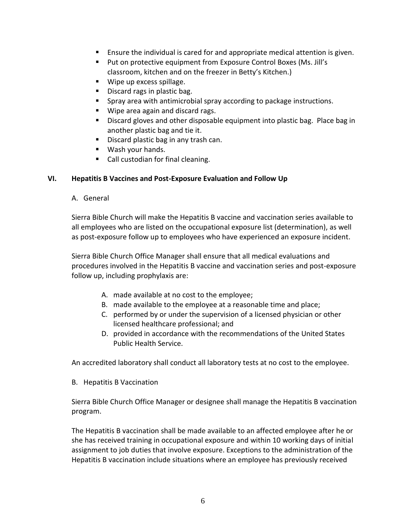- Ensure the individual is cared for and appropriate medical attention is given.
- Put on protective equipment from Exposure Control Boxes (Ms. Jill's classroom, kitchen and on the freezer in Betty's Kitchen.)
- Wipe up excess spillage.
- Discard rags in plastic bag.
- Spray area with antimicrobial spray according to package instructions.
- Wipe area again and discard rags.
- **■** Discard gloves and other disposable equipment into plastic bag. Place bag in another plastic bag and tie it.
- Discard plastic bag in any trash can.
- Wash your hands.
- Call custodian for final cleaning.

#### **VI. Hepatitis B Vaccines and Post-Exposure Evaluation and Follow Up**

A. General

Sierra Bible Church will make the Hepatitis B vaccine and vaccination series available to all employees who are listed on the occupational exposure list (determination), as well as post-exposure follow up to employees who have experienced an exposure incident.

Sierra Bible Church Office Manager shall ensure that all medical evaluations and procedures involved in the Hepatitis B vaccine and vaccination series and post-exposure follow up, including prophylaxis are:

- A. made available at no cost to the employee;
- B. made available to the employee at a reasonable time and place;
- C. performed by or under the supervision of a licensed physician or other licensed healthcare professional; and
- D. provided in accordance with the recommendations of the United States Public Health Service.

An accredited laboratory shall conduct all laboratory tests at no cost to the employee.

B. Hepatitis B Vaccination

Sierra Bible Church Office Manager or designee shall manage the Hepatitis B vaccination program.

The Hepatitis B vaccination shall be made available to an affected employee after he or she has received training in occupational exposure and within 10 working days of initial assignment to job duties that involve exposure. Exceptions to the administration of the Hepatitis B vaccination include situations where an employee has previously received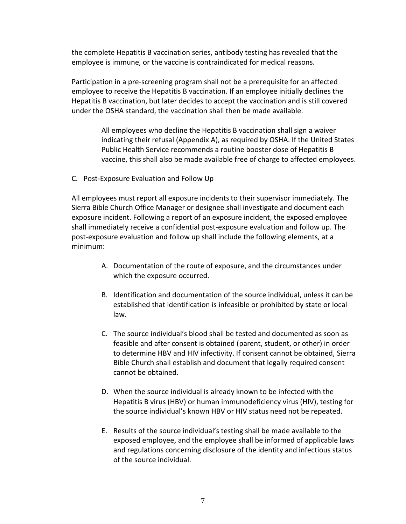the complete Hepatitis B vaccination series, antibody testing has revealed that the employee is immune, or the vaccine is contraindicated for medical reasons.

Participation in a pre-screening program shall not be a prerequisite for an affected employee to receive the Hepatitis B vaccination. If an employee initially declines the Hepatitis B vaccination, but later decides to accept the vaccination and is still covered under the OSHA standard, the vaccination shall then be made available.

> All employees who decline the Hepatitis B vaccination shall sign a waiver indicating their refusal (Appendix A), as required by OSHA. If the United States Public Health Service recommends a routine booster dose of Hepatitis B vaccine, this shall also be made available free of charge to affected employees.

C. Post-Exposure Evaluation and Follow Up

All employees must report all exposure incidents to their supervisor immediately. The Sierra Bible Church Office Manager or designee shall investigate and document each exposure incident. Following a report of an exposure incident, the exposed employee shall immediately receive a confidential post-exposure evaluation and follow up. The post-exposure evaluation and follow up shall include the following elements, at a minimum:

- A. Documentation of the route of exposure, and the circumstances under which the exposure occurred.
- B. Identification and documentation of the source individual, unless it can be established that identification is infeasible or prohibited by state or local law*.*
- C. The source individual's blood shall be tested and documented as soon as feasible and after consent is obtained (parent, student, or other) in order to determine HBV and HIV infectivity. If consent cannot be obtained, Sierra Bible Church shall establish and document that legally required consent cannot be obtained.
- D. When the source individual is already known to be infected with the Hepatitis B virus (HBV) or human immunodeficiency virus (HIV), testing for the source individual's known HBV or HIV status need not be repeated.
- E. Results of the source individual's testing shall be made available to the exposed employee, and the employee shall be informed of applicable laws and regulations concerning disclosure of the identity and infectious status of the source individual.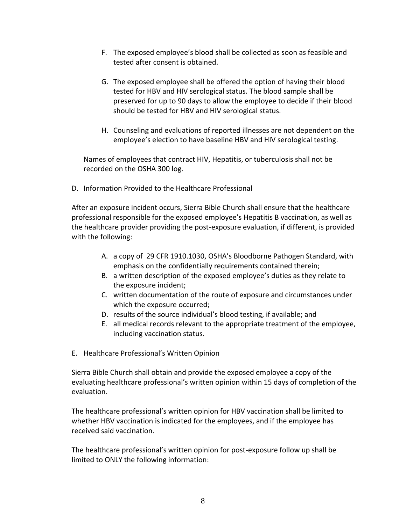- F. The exposed employee's blood shall be collected as soon as feasible and tested after consent is obtained.
- G. The exposed employee shall be offered the option of having their blood tested for HBV and HIV serological status. The blood sample shall be preserved for up to 90 days to allow the employee to decide if their blood should be tested for HBV and HIV serological status.
- H. Counseling and evaluations of reported illnesses are not dependent on the employee's election to have baseline HBV and HIV serological testing.

Names of employees that contract HIV, Hepatitis, or tuberculosis shall not be recorded on the OSHA 300 log.

D. Information Provided to the Healthcare Professional

After an exposure incident occurs, Sierra Bible Church shall ensure that the healthcare professional responsible for the exposed employee's Hepatitis B vaccination, as well as the healthcare provider providing the post-exposure evaluation, if different, is provided with the following:

- A. a copy of 29 CFR 1910.1030, OSHA's Bloodborne Pathogen Standard, with emphasis on the confidentially requirements contained therein;
- B. a written description of the exposed employee's duties as they relate to the exposure incident;
- C. written documentation of the route of exposure and circumstances under which the exposure occurred;
- D. results of the source individual's blood testing, if available; and
- E. all medical records relevant to the appropriate treatment of the employee, including vaccination status.
- E. Healthcare Professional's Written Opinion

Sierra Bible Church shall obtain and provide the exposed employee a copy of the evaluating healthcare professional's written opinion within 15 days of completion of the evaluation.

The healthcare professional's written opinion for HBV vaccination shall be limited to whether HBV vaccination is indicated for the employees, and if the employee has received said vaccination.

The healthcare professional's written opinion for post-exposure follow up shall be limited to ONLY the following information: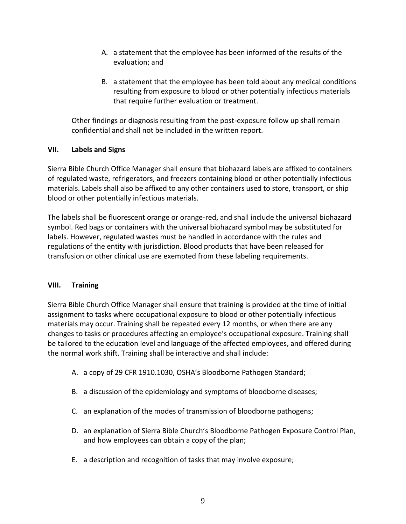- A. a statement that the employee has been informed of the results of the evaluation; and
- B. a statement that the employee has been told about any medical conditions resulting from exposure to blood or other potentially infectious materials that require further evaluation or treatment.

Other findings or diagnosis resulting from the post-exposure follow up shall remain confidential and shall not be included in the written report.

## **VII. Labels and Signs**

Sierra Bible Church Office Manager shall ensure that biohazard labels are affixed to containers of regulated waste, refrigerators, and freezers containing blood or other potentially infectious materials. Labels shall also be affixed to any other containers used to store, transport, or ship blood or other potentially infectious materials.

The labels shall be fluorescent orange or orange-red, and shall include the universal biohazard symbol. Red bags or containers with the universal biohazard symbol may be substituted for labels. However, regulated wastes must be handled in accordance with the rules and regulations of the entity with jurisdiction. Blood products that have been released for transfusion or other clinical use are exempted from these labeling requirements.

## **VIII. Training**

Sierra Bible Church Office Manager shall ensure that training is provided at the time of initial assignment to tasks where occupational exposure to blood or other potentially infectious materials may occur. Training shall be repeated every 12 months, or when there are any changes to tasks or procedures affecting an employee's occupational exposure. Training shall be tailored to the education level and language of the affected employees, and offered during the normal work shift. Training shall be interactive and shall include:

- A. a copy of 29 CFR 1910.1030, OSHA's Bloodborne Pathogen Standard;
- B. a discussion of the epidemiology and symptoms of bloodborne diseases;
- C. an explanation of the modes of transmission of bloodborne pathogens;
- D. an explanation of Sierra Bible Church's Bloodborne Pathogen Exposure Control Plan, and how employees can obtain a copy of the plan;
- E. a description and recognition of tasks that may involve exposure;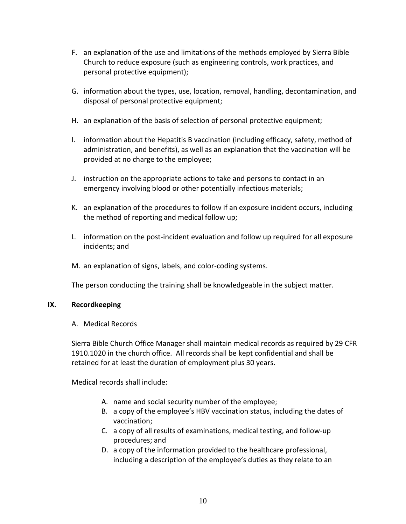- F. an explanation of the use and limitations of the methods employed by Sierra Bible Church to reduce exposure (such as engineering controls, work practices, and personal protective equipment);
- G. information about the types, use, location, removal, handling, decontamination, and disposal of personal protective equipment;
- H. an explanation of the basis of selection of personal protective equipment;
- I. information about the Hepatitis B vaccination (including efficacy, safety, method of administration, and benefits), as well as an explanation that the vaccination will be provided at no charge to the employee;
- J. instruction on the appropriate actions to take and persons to contact in an emergency involving blood or other potentially infectious materials;
- K. an explanation of the procedures to follow if an exposure incident occurs, including the method of reporting and medical follow up;
- L. information on the post-incident evaluation and follow up required for all exposure incidents; and
- M. an explanation of signs, labels, and color-coding systems.

The person conducting the training shall be knowledgeable in the subject matter.

## **IX. Recordkeeping**

A. Medical Records

Sierra Bible Church Office Manager shall maintain medical records as required by 29 CFR 1910.1020 in the church office. All records shall be kept confidential and shall be retained for at least the duration of employment plus 30 years.

Medical records shall include:

- A. name and social security number of the employee;
- B. a copy of the employee's HBV vaccination status, including the dates of vaccination;
- C. a copy of all results of examinations, medical testing, and follow-up procedures; and
- D. a copy of the information provided to the healthcare professional, including a description of the employee's duties as they relate to an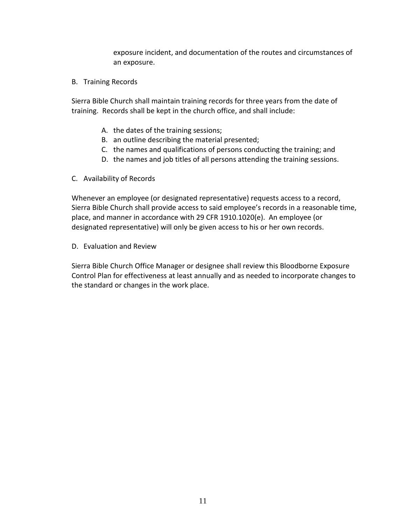exposure incident, and documentation of the routes and circumstances of an exposure.

B. Training Records

Sierra Bible Church shall maintain training records for three years from the date of training. Records shall be kept in the church office, and shall include:

- A. the dates of the training sessions;
- B. an outline describing the material presented;
- C. the names and qualifications of persons conducting the training; and
- D. the names and job titles of all persons attending the training sessions.
- C. Availability of Records

Whenever an employee (or designated representative) requests access to a record, Sierra Bible Church shall provide access to said employee's records in a reasonable time, place, and manner in accordance with 29 CFR 1910.1020(e). An employee (or designated representative) will only be given access to his or her own records.

D. Evaluation and Review

Sierra Bible Church Office Manager or designee shall review this Bloodborne Exposure Control Plan for effectiveness at least annually and as needed to incorporate changes to the standard or changes in the work place.